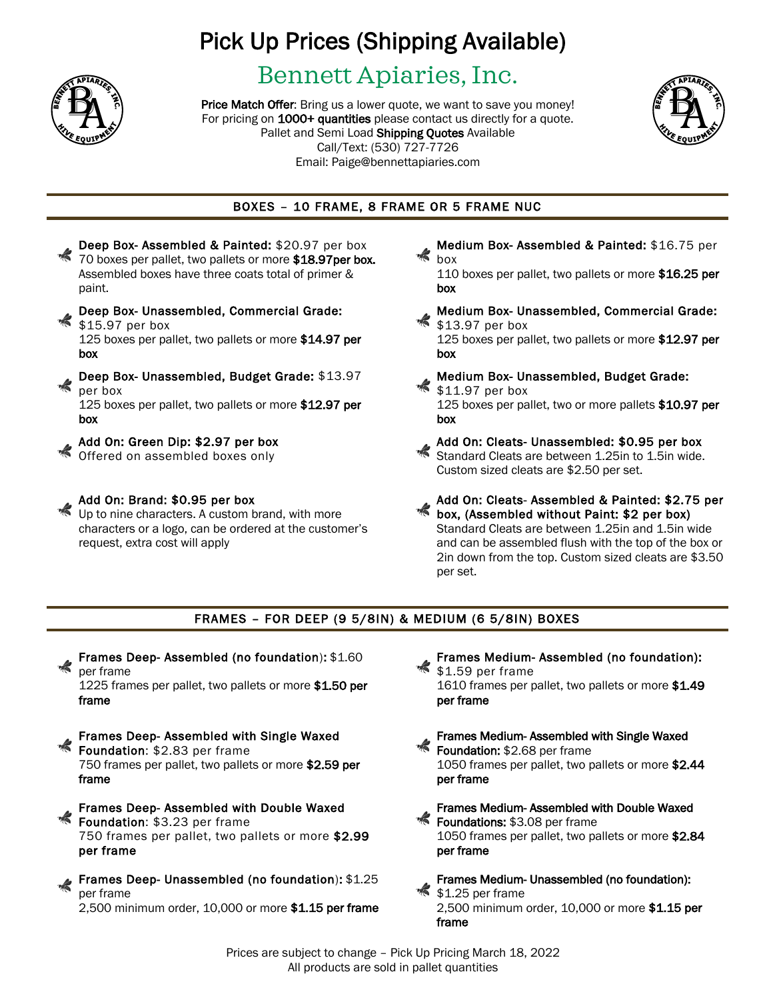

## Pick Up Prices (Shipping Available)

### Bennett Apiaries, Inc.

Price Match Offer: Bring us a lower quote, we want to save you money! For pricing on 1000+ quantities please contact us directly for a quote. Pallet and Semi Load Shipping Quotes Available Call/Text: (530) 727-7726 Email: Paige@bennettapiaries.com Price Match Offer: Bring us a lower quote, we want to save you money!<br>For pricing on 1000+ quantities please contact us directly for a quote.



### BOXES – 10 FRAME, 8 FRAME OR 5 FRAME NUC



Up to nine characters. A custom brand, with more characters or a logo, can be ordered at the customer's request, extra cost will apply

Medium Box- Assembled & Painted: \$16.75 per box

110 boxes per pallet, two pallets or more \$16.25 per box

Medium Box- Unassembled, Commercial Grade: \$13.97 per box

125 boxes per pallet, two pallets or more \$12.97 per box

Medium Box- Unassembled, Budget Grade: \$11.97 per box 125 boxes per pallet, two or more pallets \$10.97 per box

Add On: Cleats- Unassembled: \$0.95 per box Standard Cleats are between 1.25in to 1.5in wide. Custom sized cleats are \$2.50 per set.

Add On: Cleats- Assembled & Painted: \$2.75 per box, (Assembled without Paint: \$2 per box) Standard Cleats are between 1.25in and 1.5in wide and can be assembled flush with the top of the box or 2in down from the top. Custom sized cleats are \$3.50 per set.

#### FRAMES – FOR DEEP (9 5/8IN) & MEDIUM (6 5/8IN) BOXES

Frames Deep- Assembled (no foundation): \$1.60 per frame

1225 frames per pallet, two pallets or more \$1.50 per frame

- Frames Deep- Assembled with Single Waxed Foundation: \$2.83 per frame 750 frames per pallet, two pallets or more \$2.59 per frame
- Frames Deep- Assembled with Double Waxed **Foundation:** \$3.23 per frame 750 frames per pallet, two pallets or more \$2.99 per frame
- Frames Deep- Unassembled (no foundation): \$1.25 per frame 2,500 minimum order, 10,000 or more \$1.15 per frame
- Frames Medium- Assembled (no foundation): \$1.59 per frame 1610 frames per pallet, two pallets or more \$1.49 per frame
- Frames Medium- Assembled with Single Waxed Foundation: \$2.68 per frame 1050 frames per pallet, two pallets or more \$2.44 per frame
- Frames Medium- Assembled with Double Waxed Foundations: \$3.08 per frame 1050 frames per pallet, two pallets or more \$2.84 per frame
- Frames Medium- Unassembled (no foundation): \$1.25 per frame 2,500 minimum order, 10,000 or more \$1.15 per frame

Prices are subject to change – Pick Up Pricing March 18, 2022 All products are sold in pallet quantities